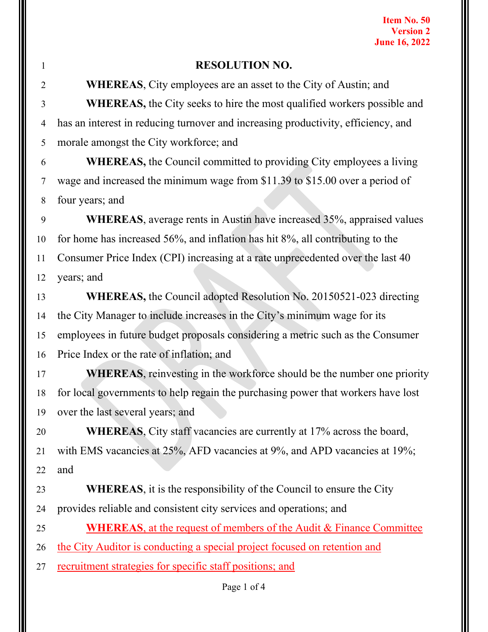| 1  | <b>RESOLUTION NO.</b>                                                             |
|----|-----------------------------------------------------------------------------------|
| 2  | <b>WHEREAS, City employees are an asset to the City of Austin; and</b>            |
| 3  | <b>WHEREAS</b> , the City seeks to hire the most qualified workers possible and   |
| 4  | has an interest in reducing turnover and increasing productivity, efficiency, and |
| 5  | morale amongst the City workforce; and                                            |
| 6  | <b>WHEREAS, the Council committed to providing City employees a living</b>        |
| 7  | wage and increased the minimum wage from \$11.39 to \$15.00 over a period of      |
| 8  | four years; and                                                                   |
| 9  | WHEREAS, average rents in Austin have increased 35%, appraised values             |
| 10 | for home has increased 56%, and inflation has hit 8%, all contributing to the     |
| 11 | Consumer Price Index (CPI) increasing at a rate unprecedented over the last 40    |
| 12 | years; and                                                                        |
| 13 | WHEREAS, the Council adopted Resolution No. 20150521-023 directing                |
| 14 | the City Manager to include increases in the City's minimum wage for its          |
| 15 | employees in future budget proposals considering a metric such as the Consumer    |
| 16 | Price Index or the rate of inflation; and                                         |
| 17 | WHEREAS, reinvesting in the workforce should be the number one priority           |
| 18 | for local governments to help regain the purchasing power that workers have lost  |
|    | 19 over the last several years; and                                               |
| 20 | <b>WHEREAS</b> , City staff vacancies are currently at 17% across the board,      |
| 21 | with EMS vacancies at 25%, AFD vacancies at 9%, and APD vacancies at 19%;         |
| 22 | and                                                                               |
| 23 | <b>WHEREAS</b> , it is the responsibility of the Council to ensure the City       |
| 24 | provides reliable and consistent city services and operations; and                |
| 25 | <b>WHEREAS, at the request of members of the Audit &amp; Finance Committee</b>    |
| 26 | the City Auditor is conducting a special project focused on retention and         |
| 27 | <u>recruitment strategies for specific staff positions; and</u>                   |
|    |                                                                                   |

Page 1 of 4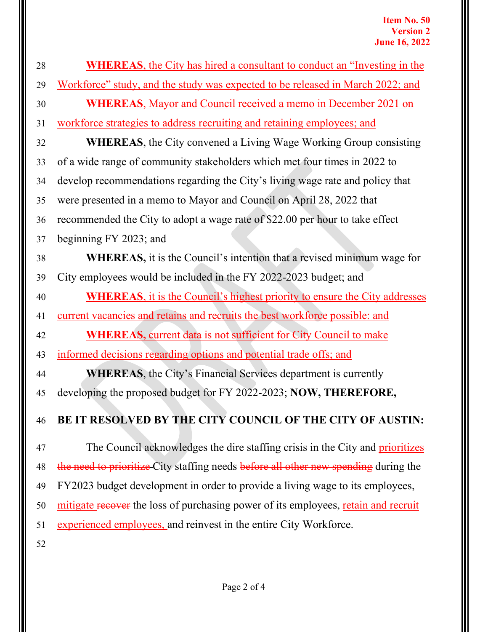| 28 | <b>WHEREAS</b> , the City has hired a consultant to conduct an "Investing in the    |
|----|-------------------------------------------------------------------------------------|
| 29 | Workforce" study, and the study was expected to be released in March 2022; and      |
| 30 | <b>WHEREAS, Mayor and Council received a memo in December 2021 on</b>               |
| 31 | workforce strategies to address recruiting and retaining employees; and             |
| 32 | <b>WHEREAS</b> , the City convened a Living Wage Working Group consisting           |
| 33 | of a wide range of community stakeholders which met four times in 2022 to           |
| 34 | develop recommendations regarding the City's living wage rate and policy that       |
| 35 | were presented in a memo to Mayor and Council on April 28, 2022 that                |
| 36 | recommended the City to adopt a wage rate of \$22.00 per hour to take effect        |
| 37 | beginning FY 2023; and                                                              |
| 38 | <b>WHEREAS</b> , it is the Council's intention that a revised minimum wage for      |
| 39 | City employees would be included in the FY 2022-2023 budget; and                    |
| 40 | <b>WHEREAS</b> , it is the Council's highest priority to ensure the City addresses  |
| 41 | current vacancies and retains and recruits the best workforce possible: and         |
| 42 | <b>WHEREAS, current data is not sufficient for City Council to make</b>             |
| 43 | informed decisions regarding options and potential trade offs; and                  |
| 44 | <b>WHEREAS</b> , the City's Financial Services department is currently              |
| 45 | developing the proposed budget for FY 2022-2023; NOW, THEREFORE,                    |
| 46 | BE IT RESOLVED BY THE CITY COUNCIL OF THE CITY OF AUSTIN:                           |
| 47 | The Council acknowledges the dire staffing crisis in the City and prioritizes       |
| 48 | the need to prioritize City staffing needs before all other new spending during the |
| 49 | FY2023 budget development in order to provide a living wage to its employees,       |
| 50 | mitigate recover the loss of purchasing power of its employees, retain and recruit  |
| 51 | experienced employees, and reinvest in the entire City Workforce.                   |
| 52 |                                                                                     |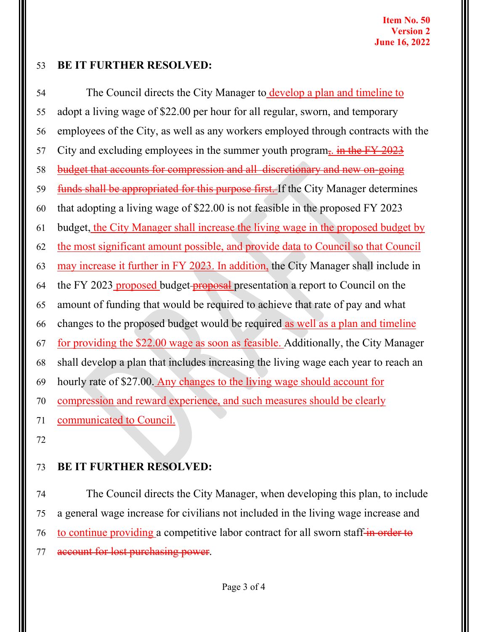## 53 **BE IT FURTHER RESOLVED:**

54 The Council directs the City Manager to develop a plan and timeline to 55 adopt a living wage of \$22.00 per hour for all regular, sworn, and temporary 56 employees of the City, as well as any workers employed through contracts with the 57 City and excluding employees in the summer youth program<sub> $\overline{5}$ </sub>. in the FY 2023 58 budget that accounts for compression and all discretionary and new on-going 59 funds shall be appropriated for this purpose first. If the City Manager determines 60 that adopting a living wage of \$22.00 is not feasible in the proposed FY 2023 61 budget, the City Manager shall increase the living wage in the proposed budget by 62 the most significant amount possible, and provide data to Council so that Council 63 may increase it further in FY 2023. In addition, the City Manager shall include in 64 the FY 2023 proposed budget-proposal presentation a report to Council on the 65 amount of funding that would be required to achieve that rate of pay and what 66 changes to the proposed budget would be required as well as a plan and timeline 67 for providing the \$22.00 wage as soon as feasible. Additionally, the City Manager 68 shall develop a plan that includes increasing the living wage each year to reach an 69 hourly rate of \$27.00. Any changes to the living wage should account for 70 compression and reward experience, and such measures should be clearly 71 communicated to Council. 72

73 **BE IT FURTHER RESOLVED:**

74 The Council directs the City Manager, when developing this plan, to include 75 a general wage increase for civilians not included in the living wage increase and 76 to continue providing a competitive labor contract for all sworn staff-in order to 77 account for lost purchasing power.